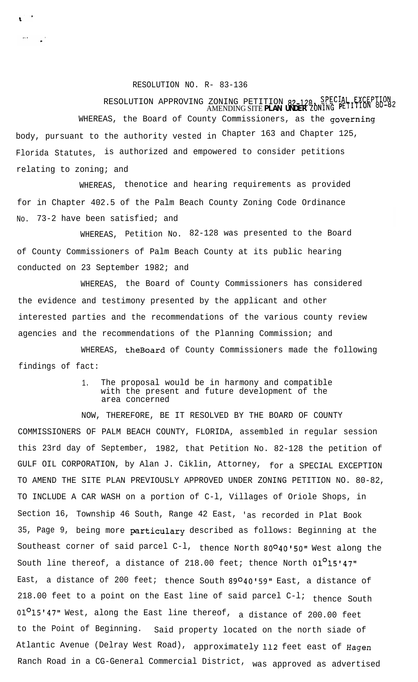## RESOLUTION NO. R- 83-136

 $\frac{1}{2}$  $\sim 10^{11}$ 

## RESOLUTION APPROVING ZONING PETITION 82-128, SPECIAL EXCEPTION<br>AMENDING SITE **PLAN UNDER** ZONING PETITION 80-82

WHEREAS, the Board of County Commissioners, as the governing body, pursuant to the authority vested in Chapter 163 and Chapter 125, Florida Statutes, is authorized and empowered to consider petitions relating to zoning; and

WHEREAS, thenotice and hearing requirements as provided for in Chapter 402.5 of the Palm Beach County Zoning Code Ordinance No. 73-2 have been satisfied; and

WHEREAS, Petition No. 82-128 was presented to the Board of County Commissioners of Palm Beach County at its public hearing conducted on 23 September 1982; and

WHEREAS, the Board of County Commissioners has considered the evidence and testimony presented by the applicant and other interested parties and the recommendations of the various county review agencies and the recommendations of the Planning Commission; and

WHEREAS, theBoard of County Commissioners made the following findings of fact:

## 1. The proposal would be in harmony and compatible with the present and future development of the area concerned

NOW, THEREFORE, BE IT RESOLVED BY THE BOARD OF COUNTY COMMISSIONERS OF PALM BEACH COUNTY, FLORIDA, assembled in regular session this 23rd day of September, 1982, that Petition No. 82-128 the petition of GULF OIL CORPORATION, by Alan J. Ciklin, Attorney, for a SPECIAL EXCEPTION TO AMEND THE SITE PLAN PREVIOUSLY APPROVED UNDER ZONING PETITION NO. 80-82, TO INCLUDE A CAR WASH on a portion of C-l, Villages of Oriole Shops, in Section 16, Township 46 South, Range 42 East, 'as recorded in Plat Book 35, Page 9, being more particulary described as follows: Beginning at the Southeast corner of said parcel C-l, thence North 80°40'50" West along the South line thereof, a distance of 218.00 feet; thence North  $01^015'47''$ East, a distance of 200 feet; thence South 89º40'59" East, a distance of 218.00 feet to a point on the East line of said parcel  $C-1$ ; thence South  $01^015'$ 47" West, along the East line thereof, a distance of 200.00 feet to the Point of Beginning. Said property located on the north siade of Atlantic Avenue (Delray West Road), approximately 112 feet east of Hagen Ranch Road in a CG-General Commercial District, was approved as advertised